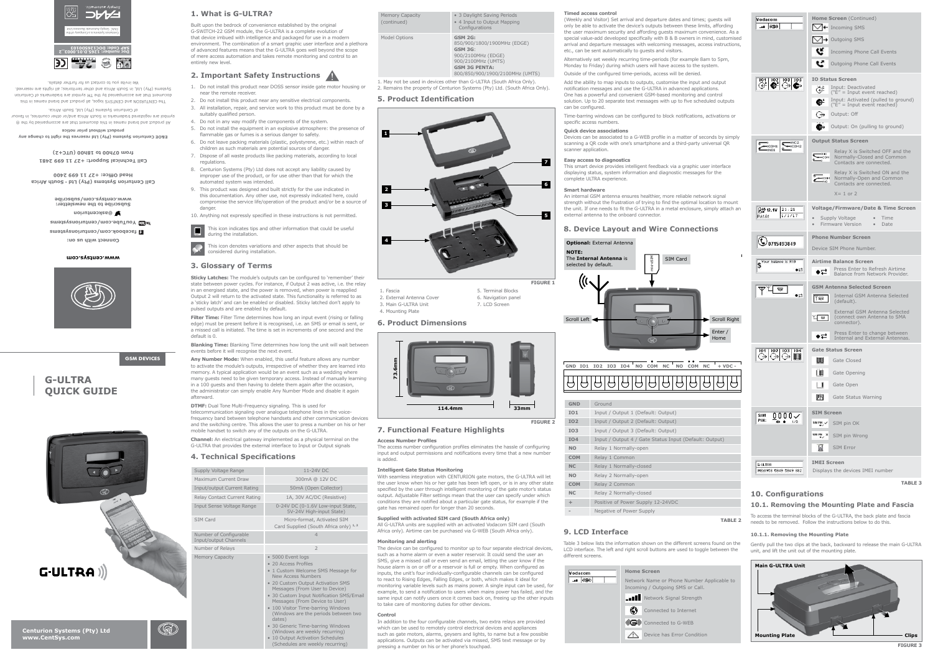**G-ULTRA**

**QUICK GUIDE**

**GSM DEVICES**

**Centurion Systems (Pty) Ltd**

G-ULTRA

**www.CentSys.com**

**1. What is G-ULTRA?**

**2. Important Safety Instructions**

# **3. Glossary of Terms**

## **5. Product Identification**

**6. Product Dimensions**

# **7. Functional Feature Highlights**

**9. LCD Interface**

## **4. Technical Specifications**

Inp

 $\circled{\mathbb{R}}$ 

1. May not be used in devices other than G-ULTRA (South Africa Only). . Remains the property of Centurion Systems (Pty) Ltd. (South Africa Only).

Built upon the bedrock of convenience established by the original G-SWITCH-22 GSM module, the G-ULTRA is a complete evolution of that device imbued with intelligence and packaged for use in a modern environment. The combination of a smart graphic user interface and a plethor of advanced features means that the G-ULTRA goes well beyond the scope of mere access automation and takes remote monitoring and control to an

**Sticky Latches:** The module's outputs can be configured to 'remember' their state between power cycles. For instance, if Output 2 was active, i.e. the relay in an energised state, and the power is removed, when power is reapplied Output 2 will return to the activated state. This functionality is referred to as a 'sticky latch' and can be enabled or disabled. Sticky latched don't apply to pulsed outputs and are enabled by default.

entirely new level.

**Filter Time:** Filter Time determines how long an input event (rising or falling edge) must be present before it is recognised, i.e. an SMS or email is sent, or a missed call is initiated. The time is set in increments of one second and the default is 0.

**Blanking Time:** Blanking Time determines how long the unit will wait between events before it will recognise the next event.

**Any Number Mode:** When enabled, this useful feature allows any number to activate the module's outputs, irrespective of whether they are learned into memory. A typical application would be an event such as a wedding where many guests need to be given temporary access. Instead of manually learning in a 100 guests and then having to delete them again after the occasion, the administrator can simply enable Any Number Mode and disable it again afterward.

**DTMF:** Dual Tone Multi-Frequency signaling. This is used for telecommunication signaling over analogue telephone lines in the voicefrequency band between telephone handsets and other communication devices and the switching centre. This allows the user to press a number on his or her mobile handset to switch any of the outputs on the G-ULTRA.

**Channel:** An electrical gateway implemented as a physical terminal on the G-ULTRA that provides the external interface to Input or Output signals

## **Access Number Profiles**

The access number configuration profiles eliminates the hassle of configuring input and output permissions and notifications every time that a new number is added.

## **Intelligent Gate Status Monitoring**

With seamless integration with CENTURION gate motors, the G-ULTRA will let the user know when his or her gate has been left open, or is in any other state specified by the user through intelligent monitoring of the gate motor's status output. Adjustable Filter settings mean that the user can specify under which conditions they are notified about a particular gate status, for example if the gate has remained open for longer than 20 seconds.

**Supplied with activated SIM card (South Africa only)**

All G-ULTRA units are supplied with an activated Vodacom SIM card (South Africa only). Airtime can be purchased via G-WEB (South Africa only).

**Monitoring and alerting**

The device can be configured to monitor up to four separate electrical devices, such as a home alarm or even a water reservoir. It could send the user an SMS, give a missed call or even send an email, letting the user know if the house alarm is on or off or a reservoir is full or empty. When configured as inputs, the unit's four individually-configurable channels can be configured to react to Rising Edges, Falling Edges, or both, which makes it ideal for monitoring variable levels such as mains power. A single input can be used, for example, to send a notification to users when mains power has failed, and the same input can notify users once it comes back on, freeing up the other inputs

to take care of monitoring duties for other devices.

**Control**

In addition to the four configurable channels, two extra relays are provided which can be used to remotely control electrical devices and appliances such as gate motors, alarms, geysers and lights, to name but a few possible applications. Outputs can be activated via missed, SMS text message or by

• 10 Output Activation Schedules (Schedules are weekly recurring)

pressing a number on his or her phone's touchpad.

Table 3 below lists the information shown on the different screens found on the LCD interface. The left and right scroll buttons are used to toggle between the

different screens.

**Modacom**  $\overline{\bullet}$   $\overline{\bullet}$ 

To access the terminal blocks of the G-ULTRA, the back plate and fascia needs to be removed. Follow the instructions below to do this.

Gently pull the two clips at the back, backward to release the main G-ULTRA unit, and lift the unit out of the mounting plate.

**Timed access control**

| Timed access control<br>(Weekly and Visitor) Set arrival and departure dates and times; guests will<br>only be able to activate the device's outputs between these limits, affording<br>the user maximum security and affording guests maximum convenience. As a<br>special value-add developed specifically with B & B owners in mind, customised<br>arrival and departure messages with welcoming messages, access instructions,<br>etc., can be sent automatically to guests and visitors.<br>Alternatively set weekly recurring time-periods (for example 8am to 5pm,<br>Monday to Friday) during which users will have access to the system. | Vodacom<br>-- 0G0                                                           | Home Screen (Continued)<br>$\bigvee$ Incoming SMS<br>Outgoing SMS<br>⊢<br>Incoming Phone Call Events<br>ĸ<br>Outgoing Phone Call Events                                                                                                                    |
|---------------------------------------------------------------------------------------------------------------------------------------------------------------------------------------------------------------------------------------------------------------------------------------------------------------------------------------------------------------------------------------------------------------------------------------------------------------------------------------------------------------------------------------------------------------------------------------------------------------------------------------------------|-----------------------------------------------------------------------------|------------------------------------------------------------------------------------------------------------------------------------------------------------------------------------------------------------------------------------------------------------|
| Outside of the configured time-periods, access will be denied.                                                                                                                                                                                                                                                                                                                                                                                                                                                                                                                                                                                    |                                                                             |                                                                                                                                                                                                                                                            |
| Add the ability to map inputs to outputs, customise the input and output<br>notification messages and use the G-ULTRA in advanced applications.<br>One has a powerful and convenient GSM-based monitoring and control<br>solution. Up to 20 separate text messages with up to five scheduled outputs<br>can be configured.                                                                                                                                                                                                                                                                                                                        | $\begin{array}{c c c c} \hline 101 & 102 & 103 & 104 \\ \hline \end{array}$ | <b>IO Status Screen</b><br>Input: Deactivated<br>œ<br>$("E" = Input event reached)$<br>Input: Activated (pulled to ground)<br>C-<br>$("E" = Input event reached)$                                                                                          |
| Time-barring windows can be configured to block notifications, activations or<br>specific access numbers.                                                                                                                                                                                                                                                                                                                                                                                                                                                                                                                                         |                                                                             | ↔<br>Output: Off                                                                                                                                                                                                                                           |
| <b>Quick device associations</b><br>Devices can be associated to a G-WEB profile in a matter of seconds by simply<br>scanning a QR code with one's smartphone and a third-party universal QR<br>scanner application.                                                                                                                                                                                                                                                                                                                                                                                                                              | ONC <sub>2</sub><br>$-000M1$<br>$-$ <sub>coM2</sub><br>·NO1                 | Output: On (pulling to ground)<br><b>Output Status Screen</b><br>Relay X is Switched OFF and the<br><b>ONC</b>                                                                                                                                             |
| Easy access to diagnostics<br>This smart device provides intelligent feedback via a graphic user interface<br>displaying status, system information and diagnostic messages for the<br>complete ULTRA experience.                                                                                                                                                                                                                                                                                                                                                                                                                                 |                                                                             | Normally-Closed and Common<br>$\rightarrow$ COM<br>Contacts are connected.<br>Relay X is Switched ON and the<br><b>COM</b> Normally-Open and Common<br>Contacts are connected.                                                                             |
| <b>Smart hardware</b><br>An internal GSM antenna ensures healthier, more reliable network signal                                                                                                                                                                                                                                                                                                                                                                                                                                                                                                                                                  |                                                                             | $X = 1$ or 2                                                                                                                                                                                                                                               |
| strength without the frustration of trying to find the optimal location to mount<br>the unit. If one needs to fit the G-ULTRA in a metal enclosure, simply attach an<br>external antenna to the onboard connector.                                                                                                                                                                                                                                                                                                                                                                                                                                | 21:21<br>A学12.1V<br>1/1/17<br>FW:1.0.1                                      | Voltage/Firmware/Date & Time Screen<br>Supply Voltage<br>Time<br>Firmware Version<br>Date                                                                                                                                                                  |
| <b>8. Device Layout and Wire Connections</b>                                                                                                                                                                                                                                                                                                                                                                                                                                                                                                                                                                                                      |                                                                             | <b>Phone Number Screen</b>                                                                                                                                                                                                                                 |
| <b>Optional:</b> External Antenna<br><b>NOTE:</b>                                                                                                                                                                                                                                                                                                                                                                                                                                                                                                                                                                                                 | <b>4</b> 0715493849                                                         | Device SIM Phone Number.                                                                                                                                                                                                                                   |
|                                                                                                                                                                                                                                                                                                                                                                                                                                                                                                                                                                                                                                                   |                                                                             |                                                                                                                                                                                                                                                            |
| $\mathsf{I}$<br>microSIM<br>The Internal Antenna is<br><b>SIM Card</b><br>selected by default.                                                                                                                                                                                                                                                                                                                                                                                                                                                                                                                                                    | S <sup>Your balance</sup> is R10<br>⇔⇔                                      | <b>Airtime Balance Screen</b><br>Press Enter to Refresh Airtime<br>$\bullet \rightleftarrows$<br>Balance from Network Provider.                                                                                                                            |
| Scroll Left <<br>Scroll Right<br>Enter /<br>Home<br>GD                                                                                                                                                                                                                                                                                                                                                                                                                                                                                                                                                                                            | 믏<br>$\bullet \rightleftarrows$                                             | <b>GSM Antenna Selected Screen</b><br>Internal GSM Antenna Selected<br>⋎ଇ<br>(default).<br>External GSM Antenna Selected<br>K<br>a<br>(connect own Antenna to SMA<br>connector).<br>Press Enter to change between<br>⇔⊏<br>Internal and External Antennas. |
|                                                                                                                                                                                                                                                                                                                                                                                                                                                                                                                                                                                                                                                   | 102 103 104<br><b>WWW.</b><br>↔<br>( →                                      | <b>Gate Status Screen</b>                                                                                                                                                                                                                                  |
| GND IO1<br>102 103 104<br>NO COM<br>NC<br>NO<br>COM<br>NC<br>$+$ VDC $-$                                                                                                                                                                                                                                                                                                                                                                                                                                                                                                                                                                          |                                                                             | <b>JULIE</b><br>Gate Closed                                                                                                                                                                                                                                |
|                                                                                                                                                                                                                                                                                                                                                                                                                                                                                                                                                                                                                                                   |                                                                             | ┃皿<br>Gate Opening                                                                                                                                                                                                                                         |
|                                                                                                                                                                                                                                                                                                                                                                                                                                                                                                                                                                                                                                                   |                                                                             | Gate Open                                                                                                                                                                                                                                                  |
| <b>GND</b><br>Ground                                                                                                                                                                                                                                                                                                                                                                                                                                                                                                                                                                                                                              |                                                                             | rч<br>Gate Status Warning                                                                                                                                                                                                                                  |
| <b>IO1</b><br>Input / Output 1 (Default: Output)                                                                                                                                                                                                                                                                                                                                                                                                                                                                                                                                                                                                  | $0000 \times$<br>SIM                                                        | <b>SIM Screen</b>                                                                                                                                                                                                                                          |
| <b>IO2</b><br>Input / Output 2 (Default: Output)                                                                                                                                                                                                                                                                                                                                                                                                                                                                                                                                                                                                  | PIN:<br>$\leftrightarrow$<br>1/3                                            | SM PH<br>SIM pin OK                                                                                                                                                                                                                                        |
| Input / Output 3 (Default: Output)<br><b>IO3</b>                                                                                                                                                                                                                                                                                                                                                                                                                                                                                                                                                                                                  |                                                                             | $\frac{1}{2}$ and $\frac{1}{2}$ and $\frac{1}{2}$<br>SIM pin Wrong                                                                                                                                                                                         |
| <b>IO4</b><br>Input / Output 4 / Gate Status Input (Default: Output)<br><b>NO</b>                                                                                                                                                                                                                                                                                                                                                                                                                                                                                                                                                                 |                                                                             | SIM Error<br>ы                                                                                                                                                                                                                                             |
| Relay 1 Normally-open<br><b>COM</b><br>Relay 1 Common                                                                                                                                                                                                                                                                                                                                                                                                                                                                                                                                                                                             |                                                                             |                                                                                                                                                                                                                                                            |
| Relay 1 Normally-closed<br>NC                                                                                                                                                                                                                                                                                                                                                                                                                                                                                                                                                                                                                     | G-ULTRA                                                                     | <b>IMEI Screen</b>                                                                                                                                                                                                                                         |
| <b>NO</b><br>Relay 2 Normally-open                                                                                                                                                                                                                                                                                                                                                                                                                                                                                                                                                                                                                | IMEI:8958 5849 5849 382                                                     | Displays the devices IMEI number                                                                                                                                                                                                                           |
| <b>COM</b><br>Relay 2 Common                                                                                                                                                                                                                                                                                                                                                                                                                                                                                                                                                                                                                      |                                                                             | <b>TABLE 3</b>                                                                                                                                                                                                                                             |

1. Do not install this product near DOSS sensor inside gate motor housing or

near the remote receiver.

suitably qualified person.

2. Do not install this product near any sensitive electrical components. 3. All installation, repair, and service work to this product must be done by a

4. Do not in any way modify the components of the system.

5. Do not install the equipment in an explosive atmosphere: the presence of

flammable gas or fumes is a serious danger to safety. 6. Do not leave packing materials (plastic, polystyrene, etc.) within reach of

children as such materials are potential sources of danger. 7. Dispose of all waste products like packing materials, according to local regulations.

- 8. Centurion Systems (Pty) Ltd does not accept any liability caused by improper use of the product, or for use other than that for which the automated system was intended.
- 9. This product was designed and built strictly for the use indicated in this documentation. Any other use, not expressly indicated here, could compromise the service life/operation of the product and/or be a source of
- danger 10. Anything not expressly specified in these instructions is not permitted.
- This icon indicates tips and other information that could be useful **E** during the installation.

í This icon denotes variations and other aspects that should be onsidered during installation.

- 1. Fascia
- 2. External Antenna Cover

#### 3. Main G-ULTRA Unit 4. Mounting Plate

5. Terminal Blocks 6. Navigation panel 7. LCD Screen

**TABLE 2**

**FIGURE 1**

| Supply Voltage Range                            | 11-24V DC                                                                                                                                                                                                                                                                                                                                                                                                                 |
|-------------------------------------------------|---------------------------------------------------------------------------------------------------------------------------------------------------------------------------------------------------------------------------------------------------------------------------------------------------------------------------------------------------------------------------------------------------------------------------|
| Maximum Current Draw                            | 300mA @ 12V DC                                                                                                                                                                                                                                                                                                                                                                                                            |
| Input/output Current Rating                     | 50mA (Open Collector)                                                                                                                                                                                                                                                                                                                                                                                                     |
| Relay Contact Current Rating                    | 1A, 30V AC/DC (Resistive)                                                                                                                                                                                                                                                                                                                                                                                                 |
| Input Sense Voltage Range                       | 0-24V DC (0-1.6V Low-input State,<br>5V-24V High-input State)                                                                                                                                                                                                                                                                                                                                                             |
| <b>SIM Card</b>                                 | Micro-format, Activated SIM<br>Card Supplied (South Africa only) 1, 2                                                                                                                                                                                                                                                                                                                                                     |
| Number of Configurable<br>Input/output Channels | $\overline{4}$                                                                                                                                                                                                                                                                                                                                                                                                            |
| Number of Relays                                | $\overline{\phantom{0}}$                                                                                                                                                                                                                                                                                                                                                                                                  |
| Memory Capacity                                 | · 5000 Event logs<br>• 20 Access Profiles<br>• 1 Custom Welcome SMS Message for<br>New Access Numbers<br>• 20 Custom Output Activation SMS<br>Messages (From User to Device)<br>• 30 Custom Input Notification SMS/Email<br>Messages (From Device to User)<br>• 100 Visitor Time-barring Windows<br>(Windows are the periods between two<br>dates)<br>• 30 Generic Time-barring Windows<br>(Windows are weekly recurring) |

|   | Memory Capacity<br>(continued) | • 3 Daylight Saving Periods<br>• 4 Input to Output Mapping<br>Configurations                                                                                    |
|---|--------------------------------|-----------------------------------------------------------------------------------------------------------------------------------------------------------------|
| a | Model Options                  | <b>GSM 2G:</b><br>850/900/1800/1900MHz (EDGE)<br>GSM 3G:<br>900/2100MHz (EDGE)<br>900/2100MHz (UMTS)<br><b>GSM 3G PENTA:</b><br>800/850/900/1900/2100MHz (UMTS) |

**NO** Relay 1 Normally-open **COM** Relay 1 Common **NC** Relay 1 Normally-closed **NO** Relay 2 Normally-open **COM** Relay 2 Common **NC** Relay 2 Normally-closed **+** Positive of Power Supply 12-24VDC **-** Negative of Power Supply

**Home Screen**

**Network Signal Strength Connected to Internet** 

**Connected to G-WEB** 

Network Name or Phone Number Applicable to Incoming / Outgoing SMS or Call.

Device has Error Condition

## **10. Configurations**

## **10.1. Removing the Mounting Plate and Fascia**

### **10.1.1. Removing the Mounting Plate**



**FIGURE 3**





**www.centsys.com**

**Connect with us on: facebook.com/centurionsystems** W**umber.com/centurionsystems @askcenturion Subscribe to the newsletter: www.centsys.com/subscribe**

**Call Centurion Systems (Pty) Ltd** . **South Africa Head Office: +27 11 699 2400 Call Technical Support: +27 11 699 2481 from 07h00 to 18h00 (UTC+2)**

**E&OE Centurion Systems (Pty) Ltd reserves the right to change any** 

**product without prior notice** All product and brand names in this document that are accompanied by the ®



symbol are registered trademarks in South Africa and/or other countries, in favour

of Centurion Systems (Pty) Ltd, South Africa.

The CENTURION and CENTSYS logos, all product and brand names in this document that are accompanied by the TM symbol are trademarks of Centurion

Systems (Pty) Ltd, in South Africa and other territories; all rights are reserved. We invite you to contact us for further details.